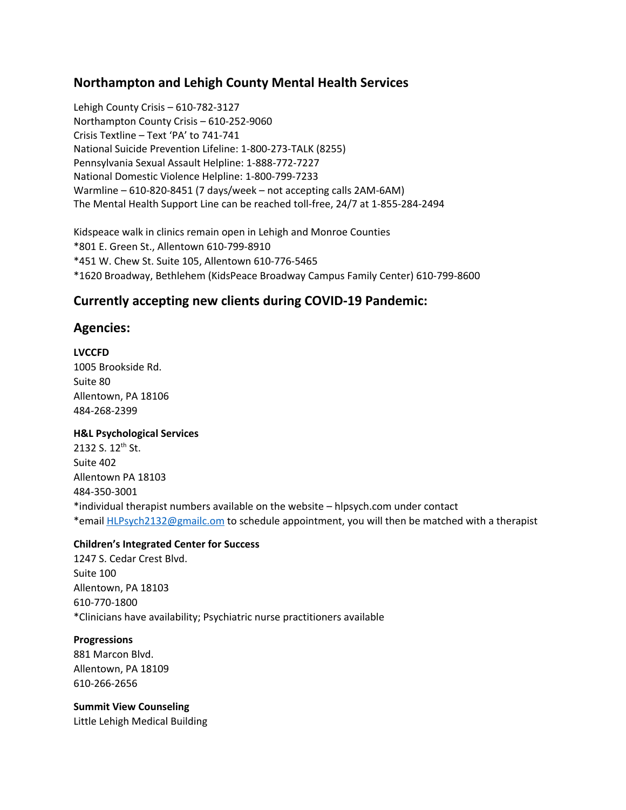# **Northampton and Lehigh County Mental Health Services**

Lehigh County Crisis – 610-782-3127 Northampton County Crisis – 610-252-9060 Crisis Textline – Text 'PA' to 741-741 National Suicide Prevention Lifeline: 1-800-273-TALK (8255) Pennsylvania Sexual Assault Helpline: 1-888-772-7227 National Domestic Violence Helpline: 1-800-799-7233 Warmline – 610-820-8451 (7 days/week – not accepting calls 2AM-6AM) The Mental Health Support Line can be reached toll-free, 24/7 at 1-855-284-2494

Kidspeace walk in clinics remain open in Lehigh and Monroe Counties \*801 E. Green St., Allentown 610-799-8910 \*451 W. Chew St. Suite 105, Allentown 610-776-5465 \*1620 Broadway, Bethlehem (KidsPeace Broadway Campus Family Center) 610-799-8600

# **Currently accepting new clients during COVID-19 Pandemic:**

# **Agencies:**

# **LVCCFD**

1005 Brookside Rd. Suite 80 Allentown, PA 18106 484-268-2399

# **H&L Psychological Services**

2132 S. 12<sup>th</sup> St. Suite 402 Allentown PA 18103 484-350-3001 \*individual therapist numbers available on the website – hlpsych.com under contact \*email [HLPsych2132@gmailc.om](mailto:HLPsych2132@gmailc.om) to schedule appointment, you will then be matched with a therapist

# **Children's Integrated Center for Success**

1247 S. Cedar Crest Blvd. Suite 100 Allentown, PA 18103 610-770-1800 \*Clinicians have availability; Psychiatric nurse practitioners available

# **Progressions**

881 Marcon Blvd. Allentown, PA 18109 610-266-2656

**Summit View Counseling** Little Lehigh Medical Building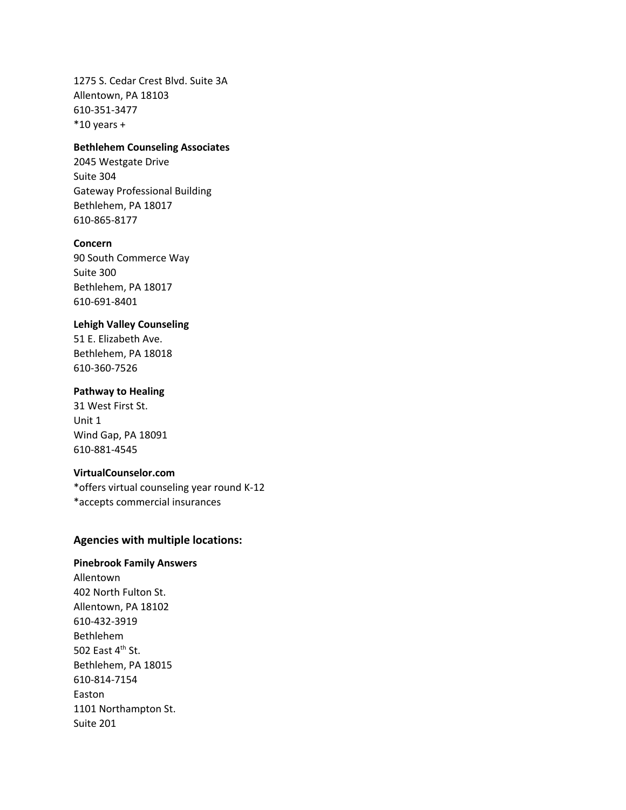1275 S. Cedar Crest Blvd. Suite 3A Allentown, PA 18103 610-351-3477  $*10$  years +

## **Bethlehem Counseling Associates**

2045 Westgate Drive Suite 304 Gateway Professional Building Bethlehem, PA 18017 610-865-8177

#### **Concern**

90 South Commerce Way Suite 300 Bethlehem, PA 18017 610-691-8401

#### **Lehigh Valley Counseling**

51 E. Elizabeth Ave. Bethlehem, PA 18018 610-360-7526

#### **Pathway to Healing**

31 West First St. Unit 1 Wind Gap, PA 18091 610-881-4545

#### **VirtualCounselor.com**

\*offers virtual counseling year round K-12 \*accepts commercial insurances

### **Agencies with multiple locations:**

# **Pinebrook Family Answers**

Allentown 402 North Fulton St. Allentown, PA 18102 610-432-3919 Bethlehem 502 East  $4^{\text{th}}$  St. Bethlehem, PA 18015 610-814-7154 Easton 1101 Northampton St. Suite 201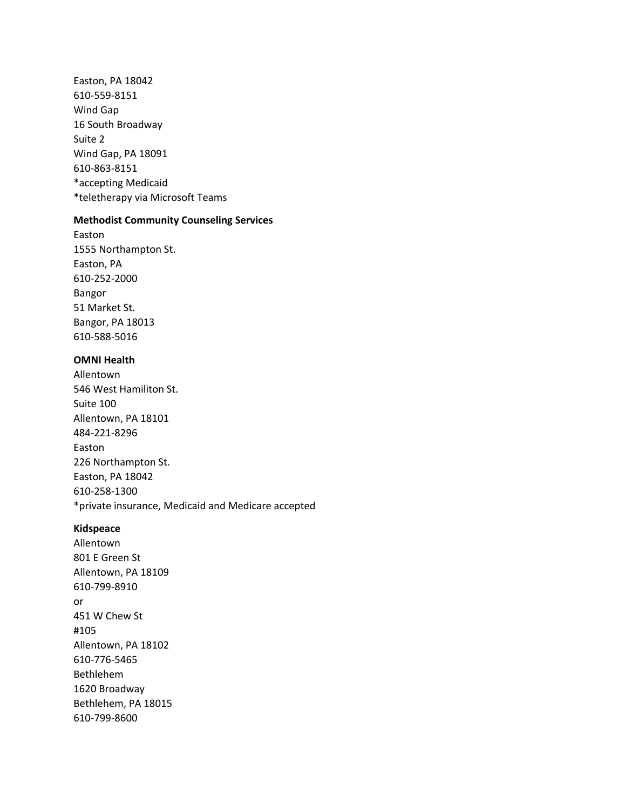Easton, PA 18042 610-559-8151 Wind Gap 16 South Broadway Suite 2 Wind Gap, PA 18091 610-863-8151 \*accepting Medicaid \*teletherapy via Microsoft Teams

## **Methodist Community Counseling Services**

Easton 1555 Northampton St. Easton, PA 610-252-2000 Bangor 51 Market St. Bangor, PA 18013 610-588-5016

# **OMNI Health**

Allentown 546 West Hamiliton St. Suite 100 Allentown, PA 18101 484-221-8296 Easton 226 Northampton St. Easton, PA 18042 610-258-1300 \*private insurance, Medicaid and Medicare accepted

#### **Kidspeace**

Allentown 801 E Green St Allentown, PA 18109 610-799-8910 or 451 W Chew St #105 Allentown, PA 18102 610-776-5465 Bethlehem 1620 Broadway Bethlehem, PA 18015 610-799-8600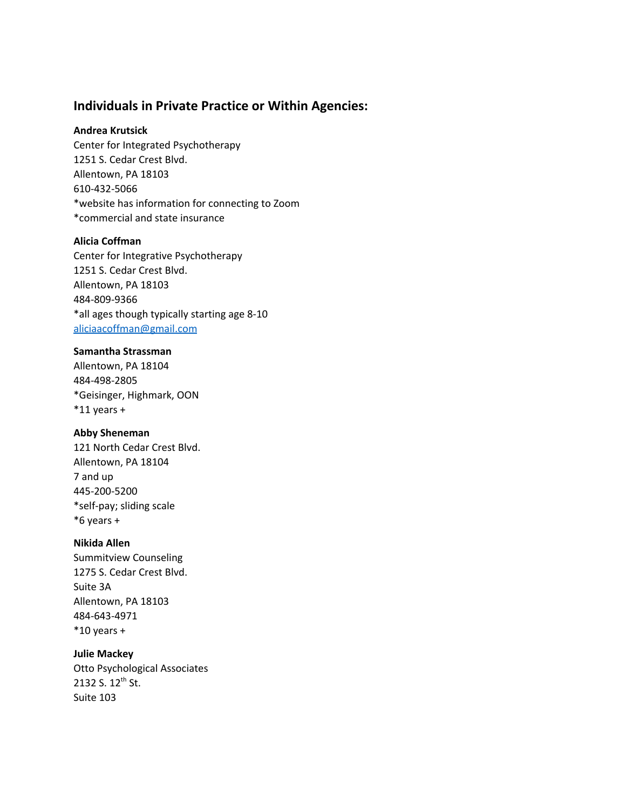# **Individuals in Private Practice or Within Agencies:**

### **Andrea Krutsick**

Center for Integrated Psychotherapy 1251 S. Cedar Crest Blvd. Allentown, PA 18103 610-432-5066 \*website has information for connecting to Zoom \*commercial and state insurance

## **Alicia Coffman**

Center for Integrative Psychotherapy 1251 S. Cedar Crest Blvd. Allentown, PA 18103 484-809-9366 \*all ages though typically starting age 8-10 [aliciaacoffman@gmail.com](mailto:aliciaacoffman@gmail.com)

#### **Samantha Strassman**

Allentown, PA 18104 484-498-2805 \*Geisinger, Highmark, OON  $*11$  years +

#### **Abby Sheneman**

121 North Cedar Crest Blvd. Allentown, PA 18104 7 and up 445-200-5200 \*self-pay; sliding scale \*6 years +

#### **Nikida Allen**

Summitview Counseling 1275 S. Cedar Crest Blvd. Suite 3A Allentown, PA 18103 484-643-4971  $*10$  years +

**Julie Mackey** Otto Psychological Associates 2132 S. 12<sup>th</sup> St. Suite 103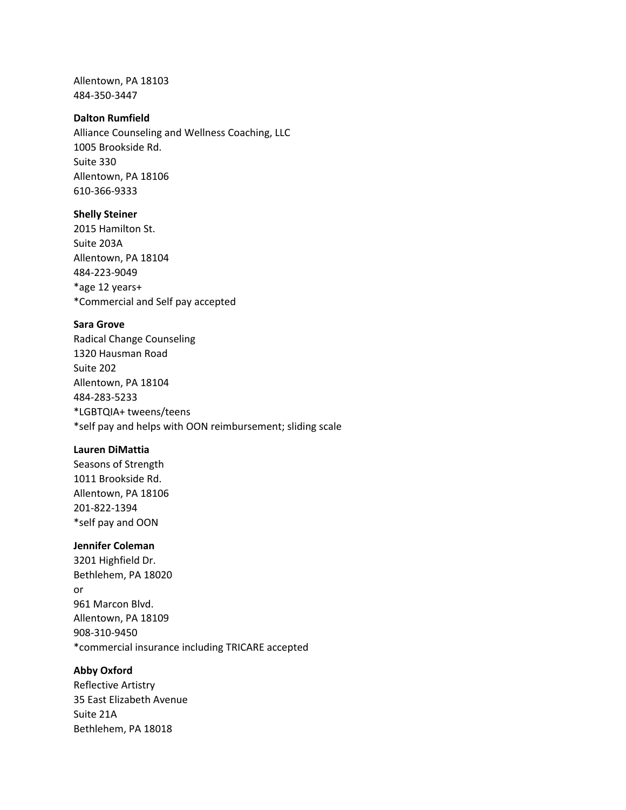Allentown, PA 18103 484-350-3447

## **Dalton Rumfield**

Alliance Counseling and Wellness Coaching, LLC 1005 Brookside Rd. Suite 330 Allentown, PA 18106 610-366-9333

### **Shelly Steiner**

2015 Hamilton St. Suite 203A Allentown, PA 18104 484-223-9049 \*age 12 years+ \*Commercial and Self pay accepted

#### **Sara Grove**

Radical Change Counseling 1320 Hausman Road Suite 202 Allentown, PA 18104 484-283-5233 \*LGBTQIA+ tweens/teens \*self pay and helps with OON reimbursement; sliding scale

#### **Lauren DiMattia**

Seasons of Strength 1011 Brookside Rd. Allentown, PA 18106 201-822-1394 \*self pay and OON

# **Jennifer Coleman**

3201 Highfield Dr. Bethlehem, PA 18020 or 961 Marcon Blvd. Allentown, PA 18109 908-310-9450 \*commercial insurance including TRICARE accepted

### **Abby Oxford**

Reflective Artistry 35 East Elizabeth Avenue Suite 21A Bethlehem, PA 18018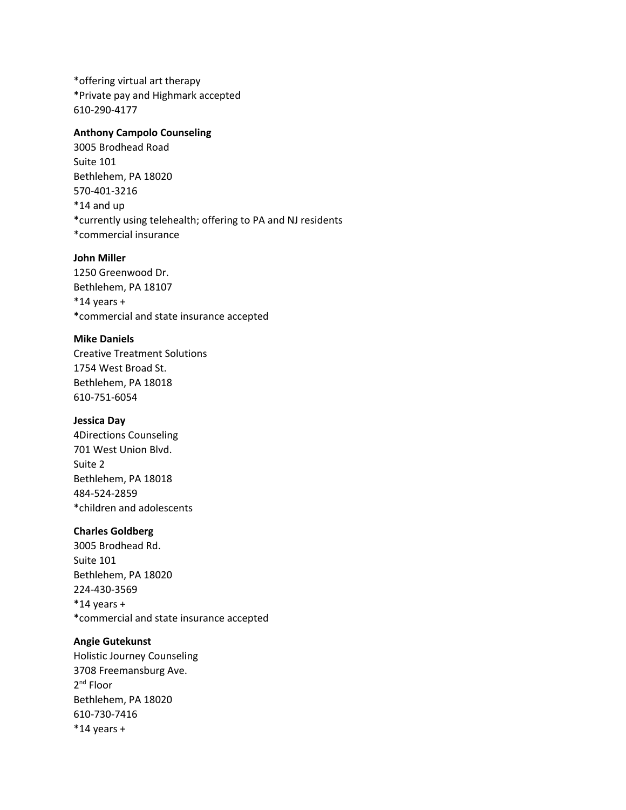\*offering virtual art therapy \*Private pay and Highmark accepted 610-290-4177

#### **Anthony Campolo Counseling**

3005 Brodhead Road Suite 101 Bethlehem, PA 18020 570-401-3216 \*14 and up \*currently using telehealth; offering to PA and NJ residents \*commercial insurance

### **John Miller**

1250 Greenwood Dr. Bethlehem, PA 18107  $*14$  years + \*commercial and state insurance accepted

#### **Mike Daniels**

Creative Treatment Solutions 1754 West Broad St. Bethlehem, PA 18018 610-751-6054

#### **Jessica Day**

4Directions Counseling 701 West Union Blvd. Suite 2 Bethlehem, PA 18018 484-524-2859 \*children and adolescents

#### **Charles Goldberg**

3005 Brodhead Rd. Suite 101 Bethlehem, PA 18020 224-430-3569  $*14$  years + \*commercial and state insurance accepted

#### **Angie Gutekunst**

Holistic Journey Counseling 3708 Freemansburg Ave. 2<sup>nd</sup> Floor Bethlehem, PA 18020 610-730-7416  $*14$  years +